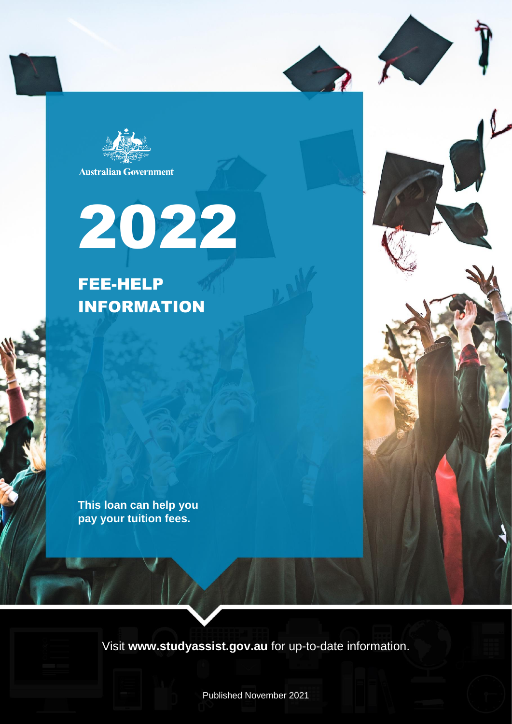

**Australian Government** 

# 2022

FEE-HELP INFORMATION

**This loan can help you pay your tuition fees.**

Visit **www.studyassist.gov.au** for up-to-date information.

Published November 2021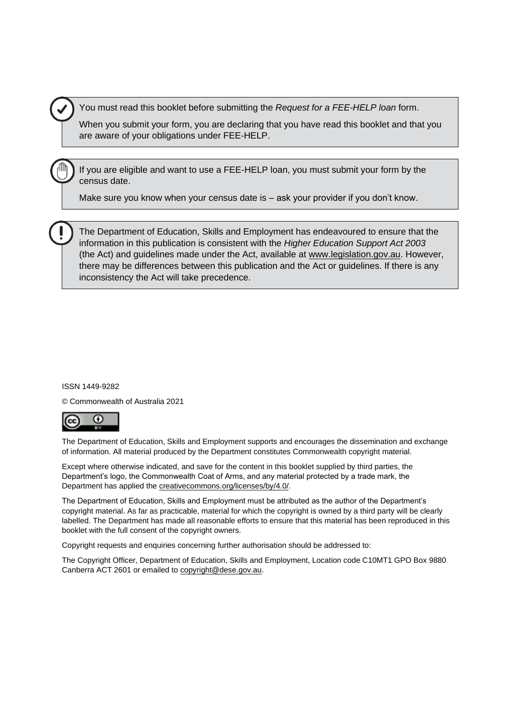You must read this booklet before submitting the *Request for a FEE-HELP loan* form.

When you submit your form, you are declaring that you have read this booklet and that you are aware of your obligations under FEE-HELP.

If you are eligible and want to use a FEE-HELP loan, you must submit your form by the census date.

Make sure you know when your census date is – ask your provider if you don't know.

The Department of Education, Skills and Employment has endeavoured to ensure that the information in this publication is consistent with the *Higher Education Support Act 2003* (the Act) and guidelines made under the Act, available at [www.legislation.gov.au.](http://www.legislation.gov.au/) However, there may be differences between this publication and the Act or guidelines. If there is any inconsistency the Act will take precedence.

#### ISSN 1449-9282

© Commonwealth of Australia 2021



The Department of Education, Skills and Employment supports and encourages the dissemination and exchange of information. All material produced by the Department constitutes Commonwealth copyright material.

Except where otherwise indicated, and save for the content in this booklet supplied by third parties, the Department's logo, the Commonwealth Coat of Arms, and any material protected by a trade mark, the Department has applied the [creativecommons.org/licenses/by/4.0/.](https://creativecommons.org/licenses/by/4.0/)

The Department of Education, Skills and Employment must be attributed as the author of the Department's copyright material. As far as practicable, material for which the copyright is owned by a third party will be clearly labelled. The Department has made all reasonable efforts to ensure that this material has been reproduced in this booklet with the full consent of the copyright owners.

Copyright requests and enquiries concerning further authorisation should be addressed to:

The Copyright Officer, Department of Education, Skills and Employment, Location code C10MT1 GPO Box 9880 Canberra ACT 2601 or emailed to copyright@dese.gov.au.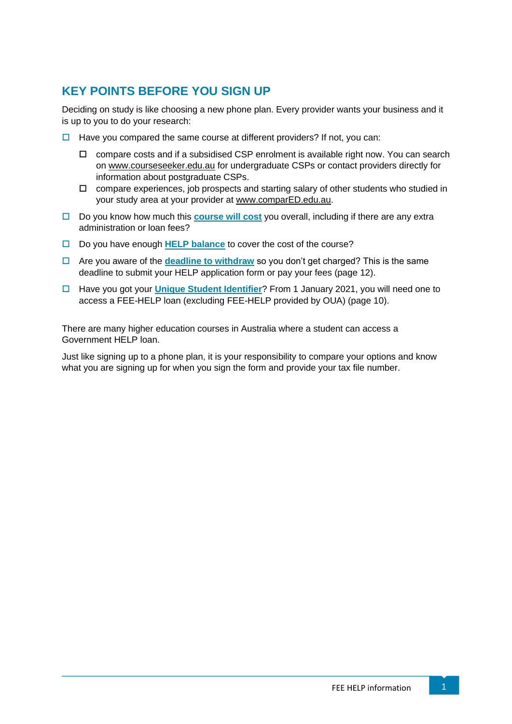# **KEY POINTS BEFORE YOU SIGN UP**

Deciding on study is like choosing a new phone plan. Every provider wants your business and it is up to you to do your research:

- $\Box$  Have you compared the same course at different providers? If not, you can:
	- $\Box$  compare costs and if a subsidised CSP enrolment is available right now. You can search on [www.courseseeker.edu.au](http://www.courseseeker.edu.au/) for undergraduate CSPs or contact providers directly for information about postgraduate CSPs.
	- $\Box$  compare experiences, job prospects and starting salary of other students who studied in your study area at your provider at [www.comparED.edu.au.](http://www.compared.edu.au/)
- □ Do you know how much this **[course will cost](#page-6-0)** you overall, including if there are any extra administration or loan fees?
- □ Do you have enough [HELP balance](#page-9-0) to cover the cost of the course?
- Are you aware of the **[deadline to withdraw](#page-13-0)** so you don't get charged? This is the same deadline to submit your HELP application form or pay your fees (page 12).
- Have you got your **[Unique Student Identifier](#page-10-0)**? From 1 January 2021, you will need one to access a FEE-HELP loan (excluding FEE-HELP provided by OUA) (page 10).

There are many higher education courses in Australia where a student can access a Government HELP loan.

Just like signing up to a phone plan, it is your responsibility to compare your options and know what you are signing up for when you sign the form and provide your tax file number.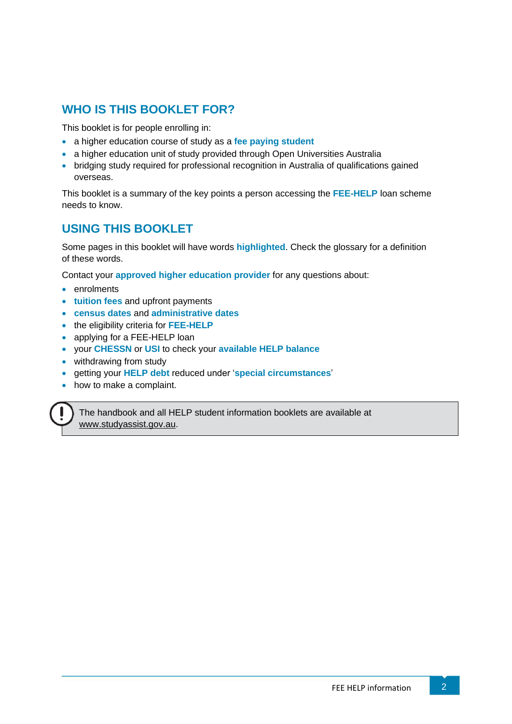# **WHO IS THIS BOOKLET FOR?**

This booklet is for people enrolling in:

- a higher education course of study as a **fee paying student**
- a higher education unit of study provided through Open Universities Australia
- bridging study required for professional recognition in Australia of qualifications gained overseas.

This booklet is a summary of the key points a person accessing the **FEE-HELP** loan scheme needs to know.

# **USING THIS BOOKLET**

Some pages in this booklet will have words **highlighted**. Check the glossary for a definition of these words.

Contact your **approved higher education provider** for any questions about:

- enrolments
- **tuition fees** and upfront payments
- **census dates** and **administrative dates**
- the eligibility criteria for **FEE-HELP**
- applying for a FEE-HELP loan
- your **CHESSN** or **USI** to check your **available HELP balance**
- withdrawing from study
- getting your **HELP debt** reduced under '**special circumstances**'
- how to make a complaint.

The handbook and all HELP student information booklets are available at [www.studyassist.gov.au.](http://www.studyassist.gov.au/)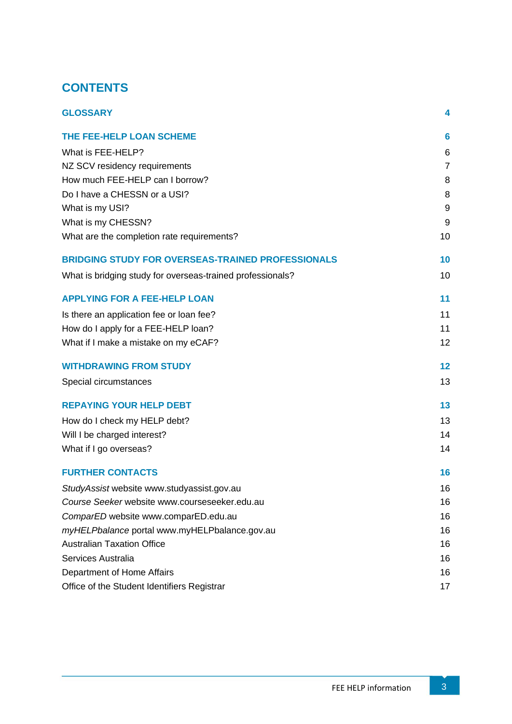# **CONTENTS**

<span id="page-4-0"></span>

| <b>GLOSSARY</b>                                            | 4                |
|------------------------------------------------------------|------------------|
| THE FEE-HELP LOAN SCHEME                                   | $6\phantom{1}6$  |
| What is FEE-HELP?                                          | 6                |
| NZ SCV residency requirements                              | $\overline{7}$   |
| How much FEE-HELP can I borrow?                            | 8                |
| Do I have a CHESSN or a USI?                               | 8                |
| What is my USI?                                            | $\boldsymbol{9}$ |
| What is my CHESSN?                                         | $\boldsymbol{9}$ |
| What are the completion rate requirements?                 | 10               |
| <b>BRIDGING STUDY FOR OVERSEAS-TRAINED PROFESSIONALS</b>   | 10               |
| What is bridging study for overseas-trained professionals? | 10               |
| <b>APPLYING FOR A FEE-HELP LOAN</b>                        | 11               |
| Is there an application fee or loan fee?                   | 11               |
| How do I apply for a FEE-HELP loan?                        | 11               |
| What if I make a mistake on my eCAF?                       | 12               |
| <b>WITHDRAWING FROM STUDY</b>                              | 12               |
| Special circumstances                                      | 13               |
| <b>REPAYING YOUR HELP DEBT</b>                             | 13               |
| How do I check my HELP debt?                               | 13               |
| Will I be charged interest?                                | 14               |
| What if I go overseas?                                     | 14               |
| <b>FURTHER CONTACTS</b>                                    | 16               |
| StudyAssist website www.studyassist.gov.au                 | 16               |
| Course Seeker website www.courseseeker.edu.au              | 16               |
| ComparED website www.comparED.edu.au                       | 16               |
| myHELPbalance portal www.myHELPbalance.gov.au              | 16               |
| <b>Australian Taxation Office</b>                          | 16               |
| Services Australia                                         | 16               |
| Department of Home Affairs                                 | 16               |
| Office of the Student Identifiers Registrar                | 17               |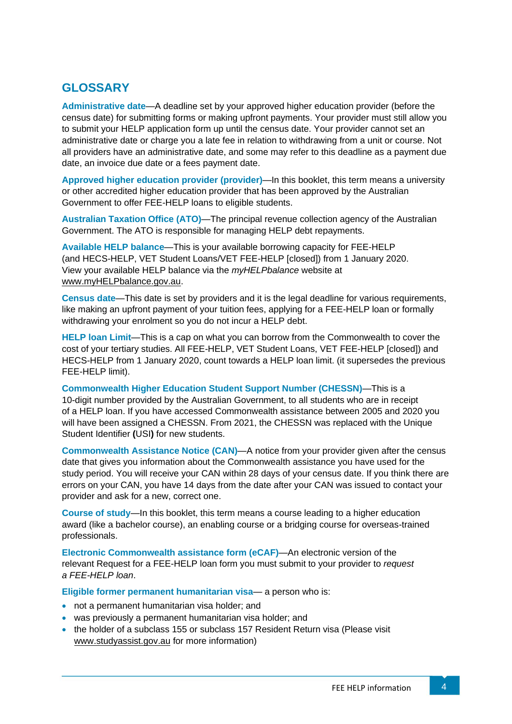# **GLOSSARY**

**Administrative date**—A deadline set by your approved higher education provider (before the census date) for submitting forms or making upfront payments. Your provider must still allow you to submit your HELP application form up until the census date. Your provider cannot set an administrative date or charge you a late fee in relation to withdrawing from a unit or course. Not all providers have an administrative date, and some may refer to this deadline as a payment due date, an invoice due date or a fees payment date.

**Approved higher education provider (provider)**—In this booklet, this term means a university or other accredited higher education provider that has been approved by the Australian Government to offer FEE-HELP loans to eligible students.

**Australian Taxation Office (ATO)**—The principal revenue collection agency of the Australian Government. The ATO is responsible for managing HELP debt repayments.

**Available HELP balance**—This is your available borrowing capacity for FEE-HELP (and HECS-HELP, VET Student Loans/VET FEE-HELP [closed]) from 1 January 2020. View your available HELP balance via the *myHELPbalance* website at [www.myHELPbalance.gov.au.](http://www.myhelpbalance.gov.au/)

**Census date**—This date is set by providers and it is the legal deadline for various requirements, like making an upfront payment of your tuition fees, applying for a FEE-HELP loan or formally withdrawing your enrolment so you do not incur a HELP debt.

**HELP loan Limit**—This is a cap on what you can borrow from the Commonwealth to cover the cost of your tertiary studies. All FEE-HELP, VET Student Loans, VET FEE-HELP [closed]) and HECS-HELP from 1 January 2020, count towards a HELP loan limit. (it supersedes the previous FEE-HELP limit).

**Commonwealth Higher Education Student Support Number (CHESSN)**—This is a 10-digit number provided by the Australian Government, to all students who are in receipt of a HELP loan. If you have accessed Commonwealth assistance between 2005 and 2020 you will have been assigned a CHESSN. From 2021, the CHESSN was replaced with the Unique Student Identifier **(**USI**)** for new students.

**Commonwealth Assistance Notice (CAN)**—A notice from your provider given after the census date that gives you information about the Commonwealth assistance you have used for the study period. You will receive your CAN within 28 days of your census date. If you think there are errors on your CAN, you have 14 days from the date after your CAN was issued to contact your provider and ask for a new, correct one.

**Course of study**—In this booklet, this term means a course leading to a higher education award (like a bachelor course), an enabling course or a bridging course for overseas-trained professionals.

**Electronic Commonwealth assistance form (eCAF)**—An electronic version of the relevant Request for a FEE-HELP loan form you must submit to your provider to *request a FEE-HELP loan*.

**Eligible former permanent humanitarian visa**— a person who is:

- not a permanent humanitarian visa holder; and
- was previously a permanent humanitarian visa holder; and
- the holder of a subclass 155 or subclass 157 Resident Return visa (Please visit www[.studyassist.gov.au](https://www.studyassist.gov.au/) for more information)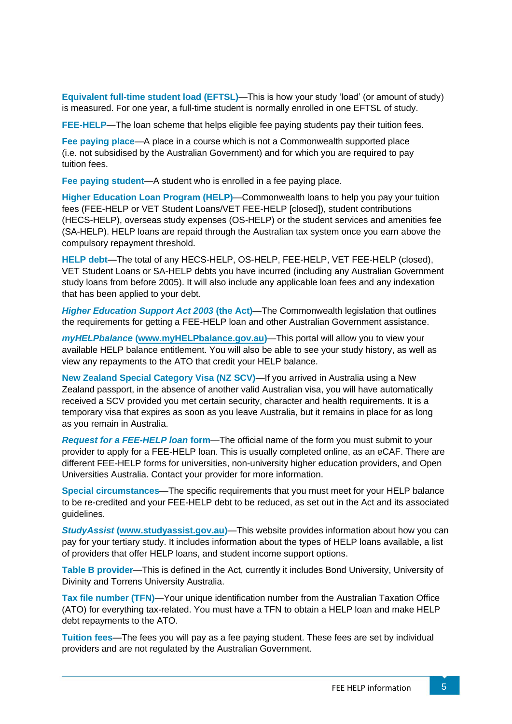**Equivalent full-time student load (EFTSL)**—This is how your study 'load' (or amount of study) is measured. For one year, a full-time student is normally enrolled in one EFTSL of study.

**FEE-HELP**—The loan scheme that helps eligible fee paying students pay their tuition fees.

**Fee paying place**—A place in a course which is not a Commonwealth supported place (i.e. not subsidised by the Australian Government) and for which you are required to pay tuition fees.

**Fee paying student**—A student who is enrolled in a fee paying place.

**Higher Education Loan Program (HELP)**—Commonwealth loans to help you pay your tuition fees (FEE-HELP or VET Student Loans/VET FEE-HELP [closed]), student contributions (HECS-HELP), overseas study expenses (OS-HELP) or the student services and amenities fee (SA-HELP). HELP loans are repaid through the Australian tax system once you earn above the compulsory repayment threshold.

**HELP debt**—The total of any HECS-HELP, OS-HELP, FEE-HELP, VET FEE-HELP (closed), VET Student Loans or SA-HELP debts you have incurred (including any Australian Government study loans from before 2005). It will also include any applicable loan fees and any indexation that has been applied to your debt.

*Higher Education Support Act 2003* **(the Act)**—The Commonwealth legislation that outlines the requirements for getting a FEE-HELP loan and other Australian Government assistance.

*myHELPbalance* **[\(www.myHELPbalance.gov.au\)](http://www.myhelpbalance.gov.au/)**—This portal will allow you to view your available HELP balance entitlement. You will also be able to see your study history, as well as view any repayments to the ATO that credit your HELP balance.

**New Zealand Special Category Visa (NZ SCV)**—If you arrived in Australia using a New Zealand passport, in the absence of another valid Australian visa, you will have automatically received a SCV provided you met certain security, character and health requirements. It is a temporary visa that expires as soon as you leave Australia, but it remains in place for as long as you remain in Australia.

*Request for a FEE-HELP loan* **form**—The official name of the form you must submit to your provider to apply for a FEE-HELP loan. This is usually completed online, as an eCAF. There are different FEE-HELP forms for universities, non-university higher education providers, and Open Universities Australia. Contact your provider for more information.

**Special circumstances**—The specific requirements that you must meet for your HELP balance to be re-credited and your FEE-HELP debt to be reduced, as set out in the Act and its associated guidelines.

*StudyAssist* **[\(www.studyassist.gov.au\)](http://www.studyassist.gov.au/)**—This website provides information about how you can pay for your tertiary study. It includes information about the types of HELP loans available, a list of providers that offer HELP loans, and student income support options.

**Table B provider**—This is defined in the Act, currently it includes Bond University, University of Divinity and Torrens University Australia.

**Tax file number (TFN)**—Your unique identification number from the Australian Taxation Office (ATO) for everything tax-related. You must have a TFN to obtain a HELP loan and make HELP debt repayments to the ATO.

<span id="page-6-0"></span>**Tuition fees**—The fees you will pay as a fee paying student. These fees are set by individual providers and are not regulated by the Australian Government.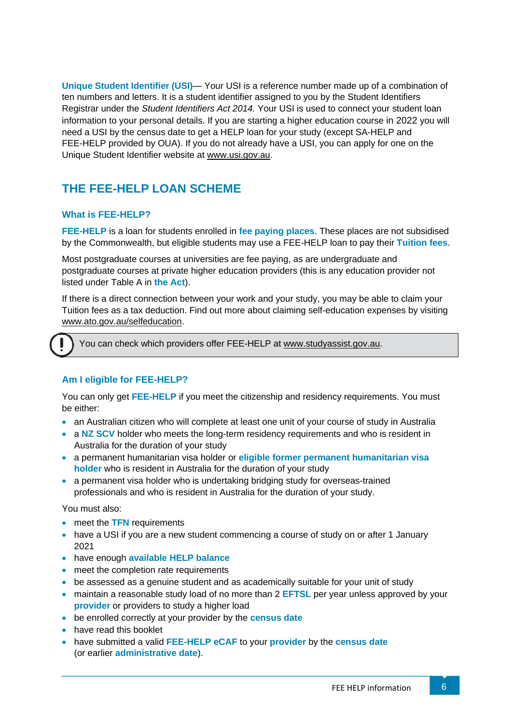**Unique Student Identifier (USI)**— Your USI is a reference number made up of a combination of ten numbers and letters. It is a student identifier assigned to you by the Student Identifiers Registrar under the *Student Identifiers Act 2014.* Your USI is used to connect your student loan information to your personal details. If you are starting a higher education course in 2022 you will need a USI by the census date to get a HELP loan for your study (except SA-HELP and FEE-HELP provided by OUA). If you do not already have a USI, you can apply for one on the Unique Student Identifier website a[t www.usi.gov.au.](http://www.usi.gov.au/) 

# <span id="page-7-0"></span>**THE FEE-HELP LOAN SCHEME**

## <span id="page-7-1"></span>**What is FEE-HELP?**

**FEE-HELP** is a loan for students enrolled in **fee paying places**. These places are not subsidised by the Commonwealth, but eligible students may use a FEE-HELP loan to pay their **Tuition fees**.

Most postgraduate courses at universities are fee paying, as are undergraduate and postgraduate courses at private higher education providers (this is any education provider not listed under Table A in **the Act**).

If there is a direct connection between your work and your study, you may be able to claim your Tuition fees as a tax deduction. Find out more about claiming self-education expenses by visiting [www.ato.gov.au/selfeducation.](http://www.ato.gov.au/selfeducation)

You can check which providers offer FEE-HELP at [www.studyassist.gov.au.](http://www.studyassist.gov.au/)

## **Am I eligible for FEE-HELP?**

You can only get **FEE-HELP** if you meet the citizenship and residency requirements. You must be either:

- an Australian citizen who will complete at least one unit of your course of study in Australia
- a NZ SCV holder who meets the long-term residency requirements and who is resident in Australia for the duration of your study
- a permanent humanitarian visa holder or **eligible former permanent humanitarian visa holder** who is resident in Australia for the duration of your study
- a permanent visa holder who is undertaking bridging study for overseas-trained professionals and who is resident in Australia for the duration of your study.

You must also:

- meet the **TFN** requirements
- have a USI if you are a new student commencing a course of study on or after 1 January 2021
- have enough **available HELP balance**
- meet the completion rate requirements
- be assessed as a genuine student and as academically suitable for your unit of study
- maintain a reasonable study load of no more than 2 **EFTSL** per year unless approved by your **provider** or providers to study a higher load
- be enrolled correctly at your provider by the **census date**
- have read this booklet
- have submitted a valid **FEE-HELP eCAF** to your **provider** by the **census date** (or earlier **administrative date**).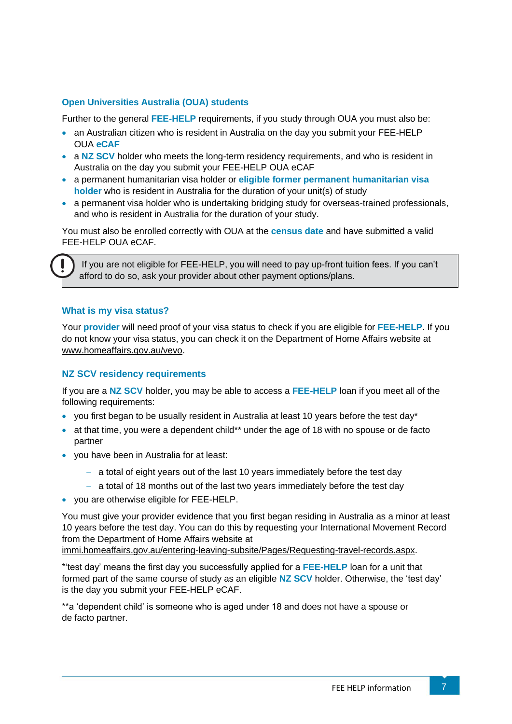#### **Open Universities Australia (OUA) students**

Further to the general **FEE-HELP** requirements, if you study through OUA you must also be:

- an Australian citizen who is resident in Australia on the day you submit your FEE-HELP OUA **eCAF**
- a NZ SCV holder who meets the long-term residency requirements, and who is resident in Australia on the day you submit your FEE-HELP OUA eCAF
- a permanent humanitarian visa holder or **eligible former permanent humanitarian visa holder** who is resident in Australia for the duration of your unit(s) of study
- a permanent visa holder who is undertaking bridging study for overseas-trained professionals, and who is resident in Australia for the duration of your study.

You must also be enrolled correctly with OUA at the **census date** and have submitted a valid FEE-HELP OUA eCAF.

If you are not eligible for FEE-HELP, you will need to pay up-front tuition fees. If you can't afford to do so, ask your provider about other payment options/plans.

#### **What is my visa status?**

Your **provider** will need proof of your visa status to check if you are eligible for **FEE-HELP**. If you do not know your visa status, you can check it on the Department of Home Affairs website at [www.homeaffairs.gov.au/vevo.](http://www.homeaffairs.gov.au/vevo)

#### <span id="page-8-0"></span>**NZ SCV residency requirements**

If you are a **NZ SCV** holder, you may be able to access a **FEE-HELP** loan if you meet all of the following requirements:

- you first began to be usually resident in Australia at least 10 years before the test day\*
- at that time, you were a dependent child\*\* under the age of 18 with no spouse or de facto partner
- you have been in Australia for at least:
	- − a total of eight years out of the last 10 years immediately before the test day
	- − a total of 18 months out of the last two years immediately before the test day
- you are otherwise eligible for FEE-HELP.

You must give your provider evidence that you first began residing in Australia as a minor at least 10 years before the test day. You can do this by requesting your International Movement Record from the Department of Home Affairs website at

[immi.homeaffairs.gov.au/entering-leaving-subsite/Pages/Requesting-travel-records.aspx.](https://immi.homeaffairs.gov.au/entering-leaving-subsite/Pages/Requesting-travel-records.aspx)

\*'test day' means the first day you successfully applied for a **FEE-HELP** loan for a unit that formed part of the same course of study as an eligible **NZ SCV** holder. Otherwise, the 'test day' is the day you submit your FEE-HELP eCAF.

\*\*a 'dependent child' is someone who is aged under 18 and does not have a spouse or de facto partner.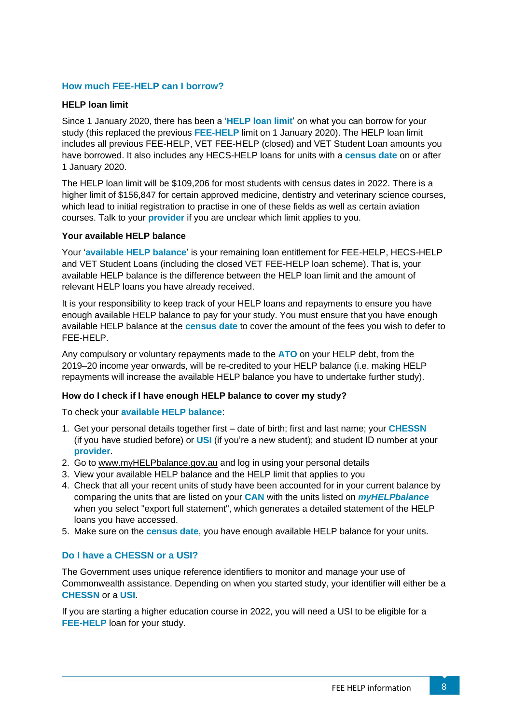## <span id="page-9-1"></span>**How much FEE-HELP can I borrow?**

#### **HELP loan limit**

Since 1 January 2020, there has been a '**HELP loan limit**' on what you can borrow for your study (this replaced the previous **FEE-HELP** limit on 1 January 2020). The HELP loan limit includes all previous FEE-HELP, VET FEE-HELP (closed) and VET Student Loan amounts you have borrowed. It also includes any HECS-HELP loans for units with a **census date** on or after 1 January 2020.

The HELP loan limit will be \$109,206 for most students with census dates in 2022. There is a higher limit of \$156,847 for certain approved medicine, dentistry and veterinary science courses, which lead to initial registration to practise in one of these fields as well as certain aviation courses. Talk to your **provider** if you are unclear which limit applies to you.

#### <span id="page-9-0"></span>**Your available HELP balance**

Your '**available HELP balance**' is your remaining loan entitlement for FEE-HELP, HECS-HELP and VET Student Loans (including the closed VET FEE-HELP loan scheme). That is, your available HELP balance is the difference between the HELP loan limit and the amount of relevant HELP loans you have already received.

It is your responsibility to keep track of your HELP loans and repayments to ensure you have enough available HELP balance to pay for your study. You must ensure that you have enough available HELP balance at the **census date** to cover the amount of the fees you wish to defer to FEE-HELP.

Any compulsory or voluntary repayments made to the **ATO** on your HELP debt, from the 2019–20 income year onwards, will be re-credited to your HELP balance (i.e. making HELP repayments will increase the available HELP balance you have to undertake further study).

## **How do I check if I have enough HELP balance to cover my study?**

To check your **available HELP balance**:

- 1. Get your personal details together first date of birth; first and last name; your **CHESSN** (if you have studied before) or **USI** (if you're a new student); and student ID number at your **provider**.
- 2. Go to [www.myHELPbalance.gov.au](http://www.myhelpbalance.gov.au/) and log in using your personal details
- 3. View your available HELP balance and the HELP limit that applies to you
- 4. Check that all your recent units of study have been accounted for in your current balance by comparing the units that are listed on your **CAN** with the units listed on *myHELPbalance* when you select "export full statement", which generates a detailed statement of the HELP loans you have accessed.
- 5. Make sure on the **census date**, you have enough available HELP balance for your units.

#### <span id="page-9-2"></span>**Do I have a CHESSN or a USI?**

The Government uses unique reference identifiers to monitor and manage your use of Commonwealth assistance. Depending on when you started study, your identifier will either be a **CHESSN** or a **USI**.

If you are starting a higher education course in 2022, you will need a USI to be eligible for a **FEE-HELP** loan for your study.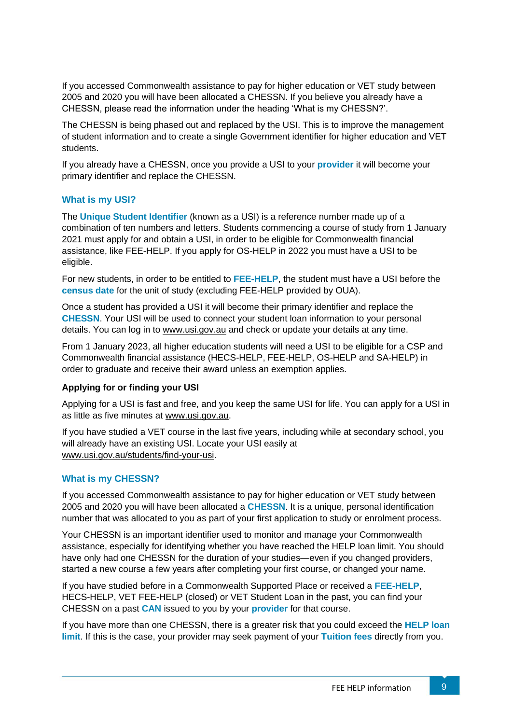If you accessed Commonwealth assistance to pay for higher education or VET study between 2005 and 2020 you will have been allocated a CHESSN. If you believe you already have a CHESSN, please read the information under the heading 'What is my CHESSN?'.

The CHESSN is being phased out and replaced by the USI. This is to improve the management of student information and to create a single Government identifier for higher education and VET students.

If you already have a CHESSN, once you provide a USI to your **provider** it will become your primary identifier and replace the CHESSN.

## <span id="page-10-0"></span>**What is my USI?**

The **Unique Student Identifier** (known as a USI) is a reference number made up of a combination of ten numbers and letters. Students commencing a course of study from 1 January 2021 must apply for and obtain a USI, in order to be eligible for Commonwealth financial assistance, like FEE-HELP. If you apply for OS-HELP in 2022 you must have a USI to be eligible.

For new students, in order to be entitled to **FEE-HELP**, the student must have a USI before the **census date** for the unit of study (excluding FEE-HELP provided by OUA).

Once a student has provided a USI it will become their primary identifier and replace the **CHESSN**. Your USI will be used to connect your student loan information to your personal details. You can log in to [www.usi.gov.au](http://www.usi.gov.au/) and check or update your details at any time.

From 1 January 2023, all higher education students will need a USI to be eligible for a CSP and Commonwealth financial assistance (HECS-HELP, FEE-HELP, OS-HELP and SA-HELP) in order to graduate and receive their award unless an exemption applies.

## **Applying for or finding your USI**

Applying for a USI is fast and free, and you keep the same USI for life. You can apply for a USI in as little as five minutes at [www.usi.gov.au.](http://www.usi.gov.au/)

If you have studied a VET course in the last five years, including while at secondary school, you will already have an existing USI. Locate your USI easily at [www.usi.gov.au/students/find-your-usi.](http://www.usi.gov.au/students/find-your-usi)

# <span id="page-10-1"></span>**What is my CHESSN?**

If you accessed Commonwealth assistance to pay for higher education or VET study between 2005 and 2020 you will have been allocated a **CHESSN**. It is a unique, personal identification number that was allocated to you as part of your first application to study or enrolment process.

Your CHESSN is an important identifier used to monitor and manage your Commonwealth assistance, especially for identifying whether you have reached the HELP loan limit. You should have only had one CHESSN for the duration of your studies—even if you changed providers, started a new course a few years after completing your first course, or changed your name.

If you have studied before in a Commonwealth Supported Place or received a **FEE-HELP**, HECS-HELP, VET FEE-HELP (closed) or VET Student Loan in the past, you can find your CHESSN on a past **CAN** issued to you by your **provider** for that course.

If you have more than one CHESSN, there is a greater risk that you could exceed the **HELP loan limit**. If this is the case, your provider may seek payment of your **Tuition fees** directly from you.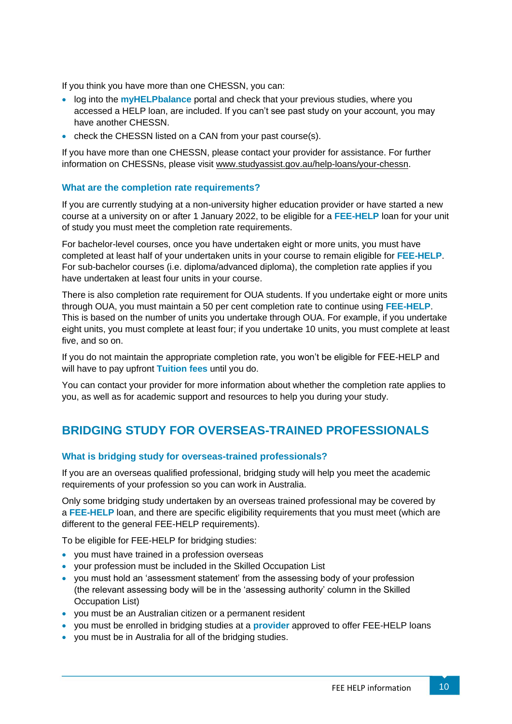If you think you have more than one CHESSN, you can:

- log into the **myHELPbalance** portal and check that your previous studies, where you accessed a HELP loan, are included. If you can't see past study on your account, you may have another CHESSN.
- check the CHESSN listed on a CAN from your past course(s).

If you have more than one CHESSN, please contact your provider for assistance. For further information on CHESSNs, please visit [www.studyassist.gov.au/help-loans/your-chessn.](http://www.studyassist.gov.au/help-loans/your-chessn)

## <span id="page-11-0"></span>**What are the completion rate requirements?**

If you are currently studying at a non-university higher education provider or have started a new course at a university on or after 1 January 2022, to be eligible for a **FEE-HELP** loan for your unit of study you must meet the completion rate requirements.

For bachelor-level courses, once you have undertaken eight or more units, you must have completed at least half of your undertaken units in your course to remain eligible for **FEE-HELP**. For sub-bachelor courses (i.e. diploma/advanced diploma), the completion rate applies if you have undertaken at least four units in your course.

There is also completion rate requirement for OUA students. If you undertake eight or more units through OUA, you must maintain a 50 per cent completion rate to continue using **FEE-HELP**. This is based on the number of units you undertake through OUA. For example, if you undertake eight units, you must complete at least four; if you undertake 10 units, you must complete at least five, and so on.

If you do not maintain the appropriate completion rate, you won't be eligible for FEE-HELP and will have to pay upfront **Tuition fees** until you do.

You can contact your provider for more information about whether the completion rate applies to you, as well as for academic support and resources to help you during your study.

# <span id="page-11-1"></span>**BRIDGING STUDY FOR OVERSEAS-TRAINED PROFESSIONALS**

## <span id="page-11-2"></span>**What is bridging study for overseas-trained professionals?**

If you are an overseas qualified professional, bridging study will help you meet the academic requirements of your profession so you can work in Australia.

Only some bridging study undertaken by an overseas trained professional may be covered by a **FEE-HELP** loan, and there are specific eligibility requirements that you must meet (which are different to the general FEE-HELP requirements).

To be eligible for FEE-HELP for bridging studies:

- you must have trained in a profession overseas
- your profession must be included in the Skilled Occupation List
- you must hold an 'assessment statement' from the assessing body of your profession (the relevant assessing body will be in the 'assessing authority' column in the Skilled Occupation List)
- you must be an Australian citizen or a permanent resident
- you must be enrolled in bridging studies at a **provider** approved to offer FEE-HELP loans
- you must be in Australia for all of the bridging studies.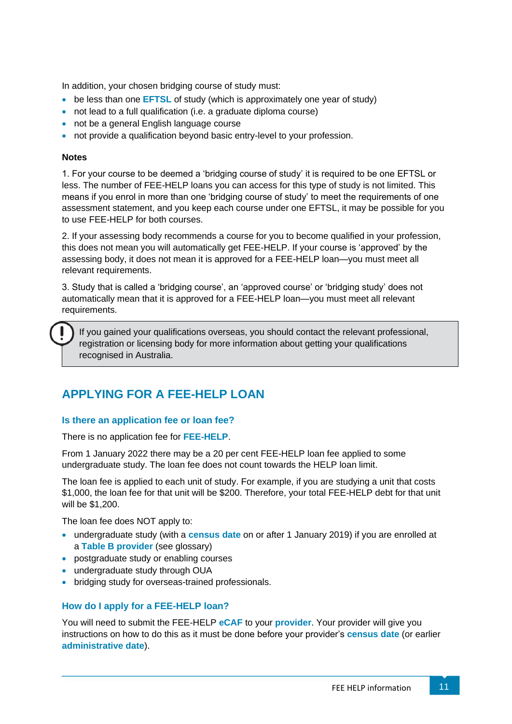In addition, your chosen bridging course of study must:

- be less than one **EFTSL** of study (which is approximately one year of study)
- not lead to a full qualification (i.e. a graduate diploma course)
- not be a general English language course
- not provide a qualification beyond basic entry-level to your profession.

#### **Notes**

1. For your course to be deemed a 'bridging course of study' it is required to be one EFTSL or less. The number of FEE-HELP loans you can access for this type of study is not limited. This means if you enrol in more than one 'bridging course of study' to meet the requirements of one assessment statement, and you keep each course under one EFTSL, it may be possible for you to use FEE-HELP for both courses.

2. If your assessing body recommends a course for you to become qualified in your profession, this does not mean you will automatically get FEE-HELP. If your course is 'approved' by the assessing body, it does not mean it is approved for a FEE-HELP loan—you must meet all relevant requirements.

3. Study that is called a 'bridging course', an 'approved course' or 'bridging study' does not automatically mean that it is approved for a FEE-HELP loan—you must meet all relevant requirements.

If you gained your qualifications overseas, you should contact the relevant professional, registration or licensing body for more information about getting your qualifications recognised in Australia.

# <span id="page-12-0"></span>**APPLYING FOR A FEE-HELP LOAN**

## <span id="page-12-1"></span>**Is there an application fee or loan fee?**

There is no application fee for **FEE-HELP**.

From 1 January 2022 there may be a 20 per cent FEE-HELP loan fee applied to some undergraduate study. The loan fee does not count towards the HELP loan limit.

The loan fee is applied to each unit of study. For example, if you are studying a unit that costs \$1,000, the loan fee for that unit will be \$200. Therefore, your total FEE-HELP debt for that unit will be \$1,200.

The loan fee does NOT apply to:

- undergraduate study (with a **census date** on or after 1 January 2019) if you are enrolled at a **Table B provider** (see glossary)
- postgraduate study or enabling courses
- undergraduate study through OUA
- bridging study for overseas-trained professionals.

## <span id="page-12-2"></span>**How do I apply for a FEE-HELP loan?**

You will need to submit the FEE-HELP **eCAF** to your **provider**. Your provider will give you instructions on how to do this as it must be done before your provider's **census date** (or earlier **administrative date**).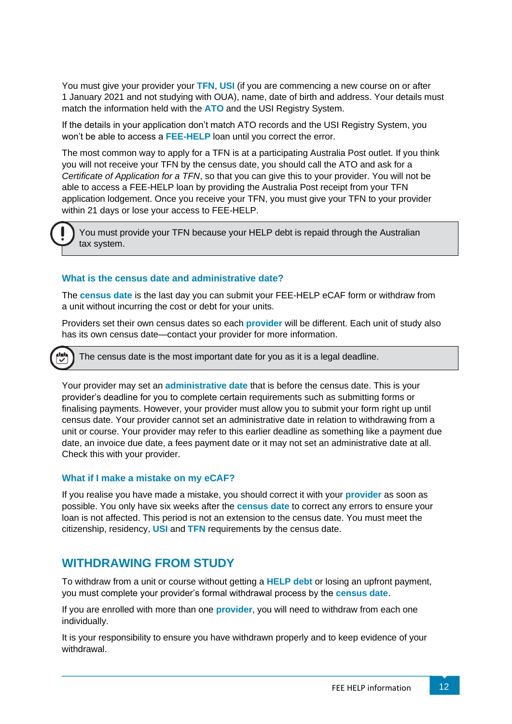You must give your provider your **TFN**, **USI** (if you are commencing a new course on or after 1 January 2021 and not studying with OUA), name, date of birth and address. Your details must match the information held with the **ATO** and the USI Registry System.

If the details in your application don't match ATO records and the USI Registry System, you won't be able to access a **FEE-HELP** loan until you correct the error.

The most common way to apply for a TFN is at a participating Australia Post outlet. If you think you will not receive your TFN by the census date, you should call the ATO and ask for a *Certificate of Application for a TFN*, so that you can give this to your provider. You will not be able to access a FEE-HELP loan by providing the Australia Post receipt from your TFN application lodgement. Once you receive your TFN, you must give your TFN to your provider within 21 days or lose your access to FEE-HELP.

You must provide your TFN because your HELP debt is repaid through the Australian tax system.

## **What is the census date and administrative date?**

The **census date** is the last day you can submit your FEE-HELP eCAF form or withdraw from a unit without incurring the cost or debt for your units.

Providers set their own census dates so each **provider** will be different. Each unit of study also has its own census date—contact your provider for more information.

The census date is the most important date for you as it is a legal deadline.

Your provider may set an **administrative date** that is before the census date. This is your provider's deadline for you to complete certain requirements such as submitting forms or finalising payments. However, your provider must allow you to submit your form right up until census date. Your provider cannot set an administrative date in relation to withdrawing from a unit or course. Your provider may refer to this earlier deadline as something like a payment due date, an invoice due date, a fees payment date or it may not set an administrative date at all. Check this with your provider.

#### <span id="page-13-1"></span>**What if I make a mistake on my eCAF?**

If you realise you have made a mistake, you should correct it with your **provider** as soon as possible. You only have six weeks after the **census date** to correct any errors to ensure your loan is not affected. This period is not an extension to the census date. You must meet the citizenship, residency, **USI** and **TFN** requirements by the census date.

# <span id="page-13-0"></span>**WITHDRAWING FROM STUDY**

To withdraw from a unit or course without getting a **HELP debt** or losing an upfront payment, you must complete your provider's formal withdrawal process by the **census date**.

If you are enrolled with more than one **provider**, you will need to withdraw from each one individually.

It is your responsibility to ensure you have withdrawn properly and to keep evidence of your withdrawal.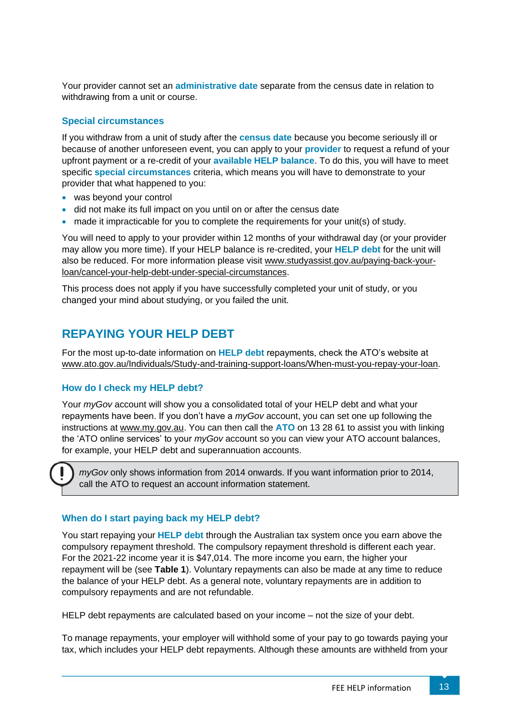Your provider cannot set an **administrative date** separate from the census date in relation to withdrawing from a unit or course.

#### <span id="page-14-0"></span>**Special circumstances**

If you withdraw from a unit of study after the **census date** because you become seriously ill or because of another unforeseen event, you can apply to your **provider** to request a refund of your upfront payment or a re-credit of your **available HELP balance**. To do this, you will have to meet specific **special circumstances** criteria, which means you will have to demonstrate to your provider that what happened to you:

- was beyond your control
- did not make its full impact on you until on or after the census date
- made it impracticable for you to complete the requirements for your unit(s) of study.

You will need to apply to your provider within 12 months of your withdrawal day (or your provider may allow you more time). If your HELP balance is re-credited, your **HELP debt** for the unit will also be reduced. For more information please visit [www.studyassist.gov.au/paying-back-your](http://www.studyassist.gov.au/paying-back-your-loan/cancel-your-help-debt-under-special-circumstances)[loan/cancel-your-help-debt-under-special-circumstances.](http://www.studyassist.gov.au/paying-back-your-loan/cancel-your-help-debt-under-special-circumstances)

This process does not apply if you have successfully completed your unit of study, or you changed your mind about studying, or you failed the unit.

# <span id="page-14-1"></span>**REPAYING YOUR HELP DEBT**

For the most up-to-date information on **HELP debt** repayments, check the ATO's website at [www.ato.gov.au/Individuals/Study-and-training-support-loans/When-must-you-repay-your-loan.](http://www.ato.gov.au/Individuals/Study-and-training-support-loans/When-must-you-repay-your-loan)

## <span id="page-14-2"></span>**How do I check my HELP debt?**

Your *myGov* account will show you a consolidated total of your HELP debt and what your repayments have been. If you don't have a *myGov* account, you can set one up following the instructions at [www.my.gov.au.](http://www.my.gov.au/) You can then call the **ATO** on 13 28 61 to assist you with linking the 'ATO online services' to your *myGov* account so you can view your ATO account balances, for example, your HELP debt and superannuation accounts.

*myGov* only shows information from 2014 onwards. If you want information prior to 2014, call the ATO to request an account information statement.

## **When do I start paying back my HELP debt?**

You start repaying your **HELP debt** through the Australian tax system once you earn above the compulsory repayment threshold. The compulsory repayment threshold is different each year. For the 2021-22 income year it is \$47,014. The more income you earn, the higher your repayment will be (see **Table 1**). Voluntary repayments can also be made at any time to reduce the balance of your HELP debt. As a general note, voluntary repayments are in addition to compulsory repayments and are not refundable.

HELP debt repayments are calculated based on your income – not the size of your debt.

To manage repayments, your employer will withhold some of your pay to go towards paying your tax, which includes your HELP debt repayments. Although these amounts are withheld from your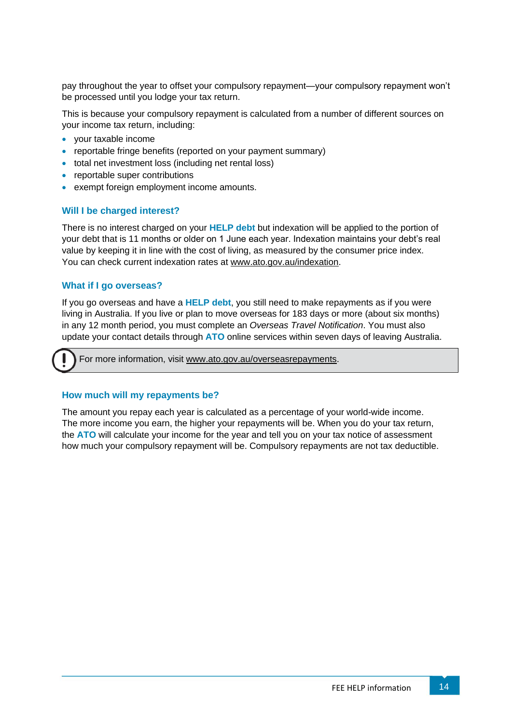pay throughout the year to offset your compulsory repayment—your compulsory repayment won't be processed until you lodge your tax return.

This is because your compulsory repayment is calculated from a number of different sources on your income tax return, including:

- your taxable income
- reportable fringe benefits (reported on your payment summary)
- total net investment loss (including net rental loss)
- reportable super contributions
- exempt foreign employment income amounts.

## <span id="page-15-0"></span>**Will I be charged interest?**

There is no interest charged on your **HELP debt** but indexation will be applied to the portion of your debt that is 11 months or older on 1 June each year. Indexation maintains your debt's real value by keeping it in line with the cost of living, as measured by the consumer price index. You can check current indexation rates at [www.ato.gov.au/indexation.](http://www.ato.gov.au/indexation)

#### <span id="page-15-1"></span>**What if I go overseas?**

If you go overseas and have a **HELP debt**, you still need to make repayments as if you were living in Australia. If you live or plan to move overseas for 183 days or more (about six months) in any 12 month period, you must complete an *Overseas Travel Notification*. You must also update your contact details through **ATO** online services within seven days of leaving Australia.

For more information, visit [www.ato.gov.au/overseasrepayments.](http://www.ato.gov.au/overseasrepayments)

## **How much will my repayments be?**

The amount you repay each year is calculated as a percentage of your world-wide income. The more income you earn, the higher your repayments will be. When you do your tax return, the **ATO** will calculate your income for the year and tell you on your tax notice of assessment how much your compulsory repayment will be. Compulsory repayments are not tax deductible.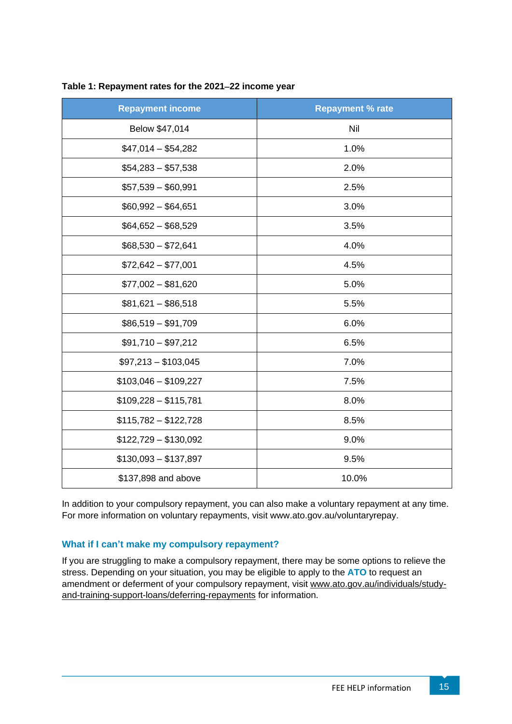| <b>Repayment income</b> | <b>Repayment % rate</b> |
|-------------------------|-------------------------|
| Below \$47,014          | Nil                     |
| $$47,014 - $54,282$     | 1.0%                    |
| $$54,283 - $57,538$     | 2.0%                    |
| $$57,539 - $60,991$     | 2.5%                    |
| $$60,992 - $64,651$     | 3.0%                    |
| $$64,652 - $68,529$     | 3.5%                    |
| $$68,530 - $72,641$     | 4.0%                    |
| $$72,642 - $77,001$     | 4.5%                    |
| $$77,002 - $81,620$     | 5.0%                    |
| $$81,621 - $86,518$     | 5.5%                    |
| $$86,519 - $91,709$     | 6.0%                    |
| $$91,710 - $97,212$     | 6.5%                    |
| $$97,213 - $103,045$    | 7.0%                    |
| $$103,046 - $109,227$   | 7.5%                    |
| $$109,228 - $115,781$   | 8.0%                    |
| $$115,782 - $122,728$   | 8.5%                    |
| $$122,729 - $130,092$   | 9.0%                    |
| $$130,093 - $137,897$   | 9.5%                    |
| \$137,898 and above     | 10.0%                   |

#### **Table 1: Repayment rates for the 2021**−**22 income year**

In addition to your compulsory repayment, you can also make a voluntary repayment at any time. For more information on voluntary repayments, visit [www.ato.gov.au/voluntaryrepay.](http://www.ato.gov.au/voluntaryrepay)

## **What if I can't make my compulsory repayment?**

If you are struggling to make a compulsory repayment, there may be some options to relieve the stress. Depending on your situation, you may be eligible to apply to the **ATO** to request an amendment or deferment of your compulsory repayment, visit [www.ato.gov.au/individuals/study](http://www.ato.gov.au/individuals/study-and-training-support-loans/deferring-repayments/)[and-training-support-loans/deferring-repayments](http://www.ato.gov.au/individuals/study-and-training-support-loans/deferring-repayments/) for information.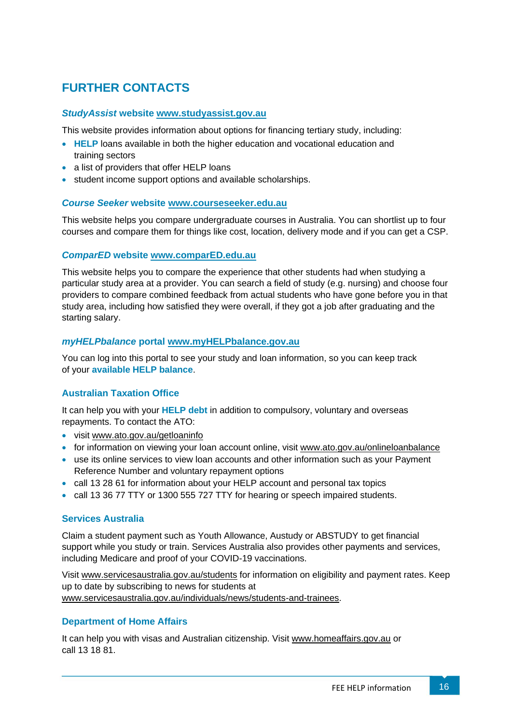# <span id="page-17-0"></span>**FURTHER CONTACTS**

#### <span id="page-17-1"></span>*StudyAssist* **website [www.studyassist.gov.au](http://www.studyassist.gov.au/)**

This website provides information about options for financing tertiary study, including:

- **HELP** loans available in both the higher education and vocational education and training sectors
- a list of providers that offer HELP loans
- student income support options and available scholarships.

#### <span id="page-17-2"></span>*Course Seeker* **website [www.courseseeker.edu.au](http://www.courseseeker.edu.au/)**

This website helps you compare undergraduate courses in Australia. You can shortlist up to four courses and compare them for things like cost, location, delivery mode and if you can get a CSP.

#### <span id="page-17-3"></span>*ComparED* **website [www.comparED.edu.au](http://www.compared.edu.au/)**

This website helps you to compare the experience that other students had when studying a particular study area at a provider. You can search a field of study (e.g. nursing) and choose four providers to compare combined feedback from actual students who have gone before you in that study area, including how satisfied they were overall, if they got a job after graduating and the starting salary.

## <span id="page-17-4"></span>*myHELPbalance* **portal [www.myHELPbalance.gov.au](http://www.myhelpbalance.gov.au/)**

You can log into this portal to see your study and loan information, so you can keep track of your **available HELP balance**.

#### <span id="page-17-5"></span>**Australian Taxation Office**

It can help you with your **HELP debt** in addition to compulsory, voluntary and overseas repayments. To contact the ATO:

- visit [www.ato.gov.au/getloaninfo](http://www.ato.gov.au/getloaninfo)
- for information on viewing your loan account online, visit [www.ato.gov.au/onlineloanbalance](http://www.ato.gov.au/onlineloanbalance)
- use its online services to view loan accounts and other information such as your Payment Reference Number and voluntary repayment options
- call 13 28 61 for information about your HELP account and personal tax topics
- call 13 36 77 TTY or 1300 555 727 TTY for hearing or speech impaired students.

#### <span id="page-17-6"></span>**Services Australia**

Claim a student payment such as Youth Allowance, Austudy or ABSTUDY to get financial support while you study or train. Services Australia also provides other payments and services, including Medicare and proof of your COVID-19 vaccinations.

Visit www.servicesaustralia.gov.au/students for information on eligibility and payment rates. Keep up to date by subscribing to news for students at [www.servicesaustralia.gov.au/individuals/news/students-and-trainees.](http://www.servicesaustralia.gov.au/individuals/news/students-and-trainees)

#### <span id="page-17-7"></span>**Department of Home Affairs**

It can help you with visas and Australian citizenship. Visit [www.homeaffairs.gov.au](http://www.homeaffairs.gov.au/) or call 13 18 81.